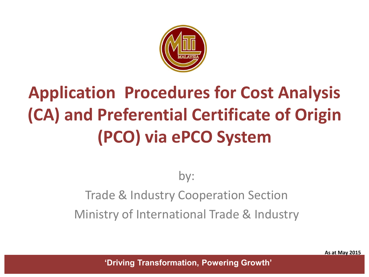

# **Application Procedures for Cost Analysis (CA) and Preferential Certificate of Origin (PCO) via ePCO System**

### by: Trade & Industry Cooperation Section Ministry of International Trade & Industry

**As at May 2015**

**'Driving Transformation, Powering Growth'**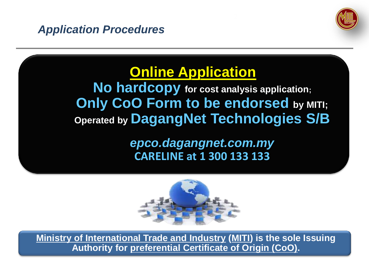



## **Online Application**

**No hardcopy for cost analysis application; Only CoO Form to be endorsed by MITI; Operated by DagangNet Technologies S/B**

> *epco.dagangnet.com.my* **CARELINE at 1 300 133 133**



**Ministry of International Trade and Industry (MITI) is the sole Issuing Authority for preferential Certificate of Origin (CoO).**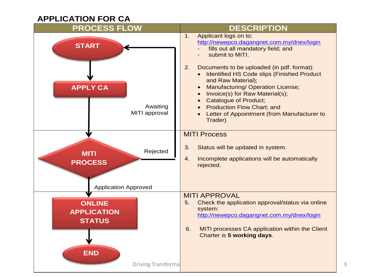#### **APPLICATION FOR CA**

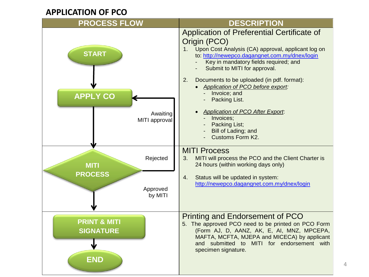#### **APPLICATION OF PCO**

| <b>PROCESS FLOW</b>                         | <b>DESCRIPTION</b>                                                                                                                                                                                                                                              |
|---------------------------------------------|-----------------------------------------------------------------------------------------------------------------------------------------------------------------------------------------------------------------------------------------------------------------|
| <b>START</b>                                | Application of Preferential Certificate of<br>Origin (PCO)<br>Upon Cost Analysis (CA) approval, applicant log on<br>$1_{-}$<br>to: http://newepco.dagangnet.com.my/dnex/login<br>Key in mandatory fields required; and<br>Submit to MITI for approval.          |
| <b>APPLY CO</b>                             | Documents to be uploaded (in pdf. format):<br>2.<br>Application of PCO before export:<br>Invoice; and<br>Packing List.                                                                                                                                          |
| Awaiting<br>MITI approval                   | <b>Application of PCO After Export:</b><br>Invoices;<br>Packing List;<br>Bill of Lading; and<br>Customs Form K2.                                                                                                                                                |
| Rejected<br><b>MITI</b>                     | <b>MITI Process</b><br>3.<br>MITI will process the PCO and the Client Charter is<br>24 hours (within working days only)                                                                                                                                         |
| <b>PROCESS</b><br>Approved<br>by MITI       | Status will be updated in system:<br>4.<br>http://newepco.dagangnet.com.my/dnex/login                                                                                                                                                                           |
| <b>PRINT &amp; MITI</b><br><b>SIGNATURE</b> | <b>Printing and Endorsement of PCO</b><br>5. The approved PCO need to be printed on PCO Form<br>(Form AJ, D, AANZ, AK, E, AI, MNZ, MPCEPA,<br>MAFTA, MCFTA, MJEPA and MICECA) by applicant<br>and submitted to MITI for endorsement with<br>specimen signature. |
| <b>END</b>                                  |                                                                                                                                                                                                                                                                 |

4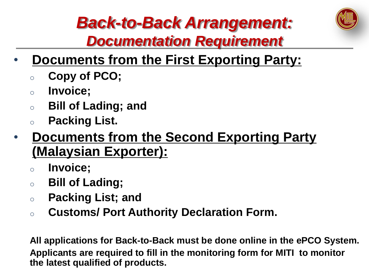

## *Back-to-Back Arrangement:* 5*Documentation Requirement*

- **Documents from the First Exporting Party:**
	- <sup>o</sup> **Copy of PCO;**
	- <sup>o</sup> **Invoice;**
	- <sup>o</sup> **Bill of Lading; and**
	- <sup>o</sup> **Packing List.**
- **Documents from the Second Exporting Party (Malaysian Exporter):**
	- <sup>o</sup> **Invoice;**
	- <sup>o</sup> **Bill of Lading;**
	- <sup>o</sup> **Packing List; and**
	- <sup>o</sup> **Customs/ Port Authority Declaration Form.**

**All applications for Back-to-Back must be done online in the ePCO System. Applicants are required to fill in the monitoring form for MITI to monitor the latest qualified of products.**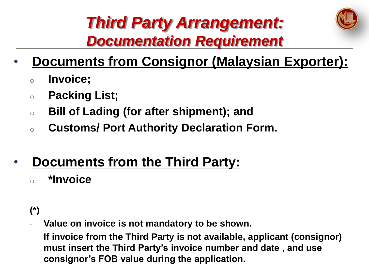

## **Third Party Arrangement:** *Documentation Requirement*

### • **Documents from Consignor (Malaysian Exporter):**

- <sup>o</sup> **Invoice;**
- <sup>o</sup> **Packing List;**
- <sup>o</sup> **Bill of Lading (for after shipment); and**
- <sup>o</sup> **Customs/ Port Authority Declaration Form.**

#### • **Documents from the Third Party:** <sup>o</sup> **\*Invoice**

#### **(\*)**

- Value on invoice is not mandatory to be shown.
- **If invoice from the Third Party is not available, applicant (consignor) must insert the Third Party's invoice number and date , and use consignor's FOB value during the application.**